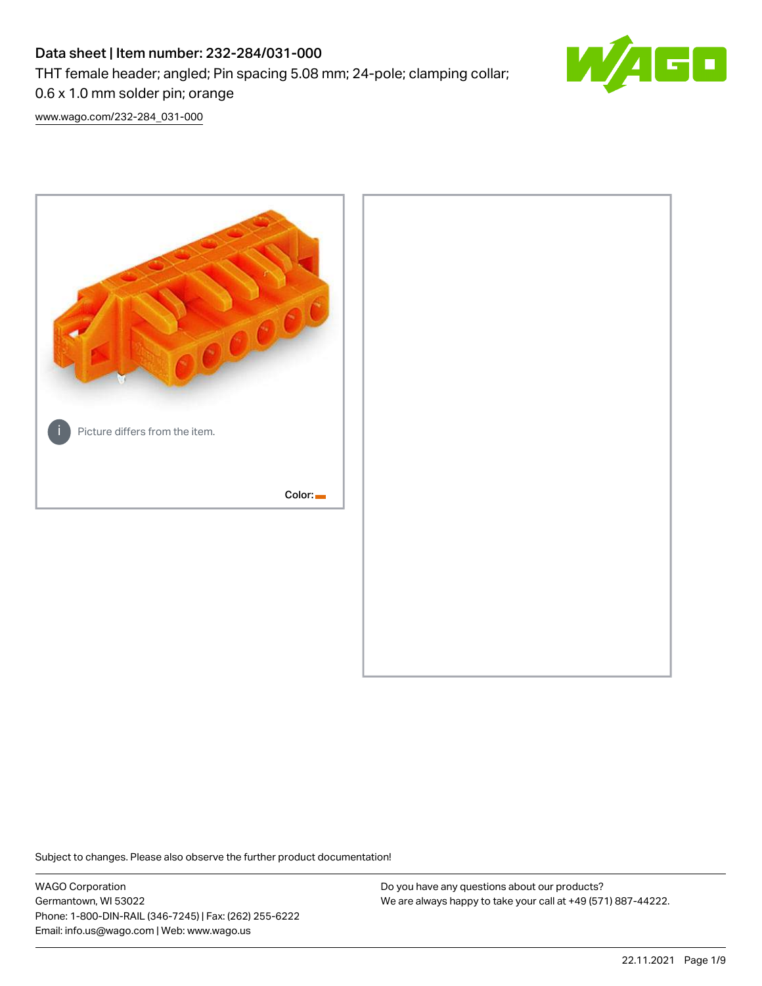# Data sheet | Item number: 232-284/031-000

THT female header; angled; Pin spacing 5.08 mm; 24-pole; clamping collar;



0.6 x 1.0 mm solder pin; orange

[www.wago.com/232-284\\_031-000](http://www.wago.com/232-284_031-000)



Subject to changes. Please also observe the further product documentation!

WAGO Corporation Germantown, WI 53022 Phone: 1-800-DIN-RAIL (346-7245) | Fax: (262) 255-6222 Email: info.us@wago.com | Web: www.wago.us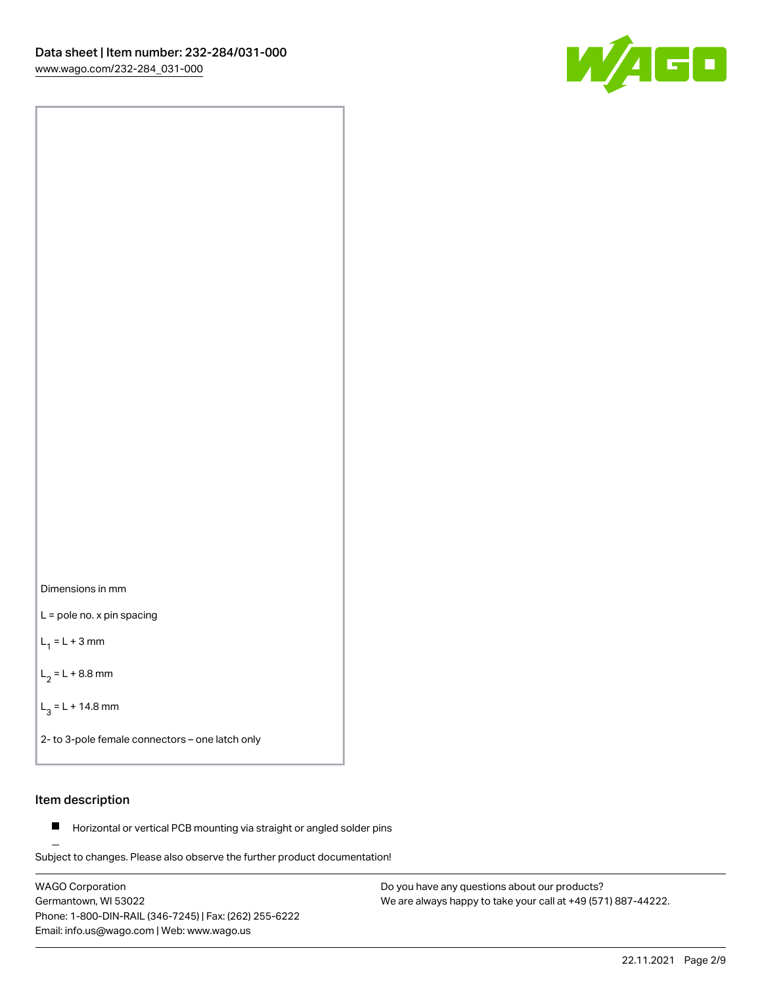

Dimensions in mm

L = pole no. x pin spacing

 $L_1 = L + 3$  mm

 $L_2 = L + 8.8$  mm

 $L_3 = L + 14.8$  mm

2- to 3-pole female connectors – one latch only

### Item description

**Horizontal or vertical PCB mounting via straight or angled solder pins** 

Subject to changes. Please also observe the further product documentation! For board-to-board and board-to-wire connections

WAGO Corporation Germantown, WI 53022 Phone: 1-800-DIN-RAIL (346-7245) | Fax: (262) 255-6222 Email: info.us@wago.com | Web: www.wago.us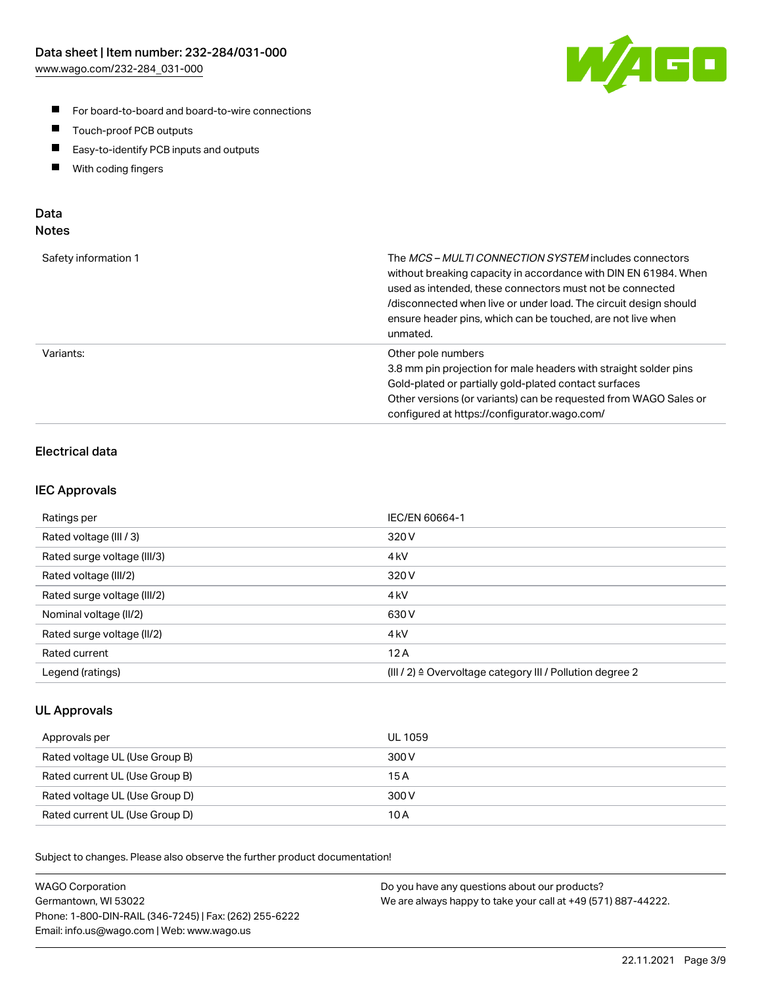

- For board-to-board and board-to-wire connections
- $\blacksquare$ Touch-proof PCB outputs
- $\blacksquare$ Easy-to-identify PCB inputs and outputs
- $\blacksquare$ With coding fingers

### Data **Notes**

| Safety information 1 | The <i>MCS – MULTI CONNECTION SYSTEM</i> includes connectors<br>without breaking capacity in accordance with DIN EN 61984. When<br>used as intended, these connectors must not be connected<br>/disconnected when live or under load. The circuit design should<br>ensure header pins, which can be touched, are not live when<br>unmated. |
|----------------------|--------------------------------------------------------------------------------------------------------------------------------------------------------------------------------------------------------------------------------------------------------------------------------------------------------------------------------------------|
| Variants:            | Other pole numbers<br>3.8 mm pin projection for male headers with straight solder pins<br>Gold-plated or partially gold-plated contact surfaces<br>Other versions (or variants) can be requested from WAGO Sales or<br>configured at https://configurator.wago.com/                                                                        |

# Electrical data

### IEC Approvals

| Ratings per                 | IEC/EN 60664-1                                                        |
|-----------------------------|-----------------------------------------------------------------------|
| Rated voltage (III / 3)     | 320 V                                                                 |
| Rated surge voltage (III/3) | 4 <sub>k</sub> V                                                      |
| Rated voltage (III/2)       | 320 V                                                                 |
| Rated surge voltage (III/2) | 4 <sub>k</sub> V                                                      |
| Nominal voltage (II/2)      | 630 V                                                                 |
| Rated surge voltage (II/2)  | 4 <sub>kV</sub>                                                       |
| Rated current               | 12A                                                                   |
| Legend (ratings)            | $(III / 2)$ $\triangle$ Overvoltage category III / Pollution degree 2 |

### UL Approvals

| Approvals per                  | UL 1059 |
|--------------------------------|---------|
| Rated voltage UL (Use Group B) | 300 V   |
| Rated current UL (Use Group B) | 15 A    |
| Rated voltage UL (Use Group D) | 300 V   |
| Rated current UL (Use Group D) | 10 A    |

Subject to changes. Please also observe the further product documentation!

| <b>WAGO Corporation</b>                                | Do you have any questions about our products?                 |
|--------------------------------------------------------|---------------------------------------------------------------|
| Germantown, WI 53022                                   | We are always happy to take your call at +49 (571) 887-44222. |
| Phone: 1-800-DIN-RAIL (346-7245)   Fax: (262) 255-6222 |                                                               |
| Email: info.us@wago.com   Web: www.wago.us             |                                                               |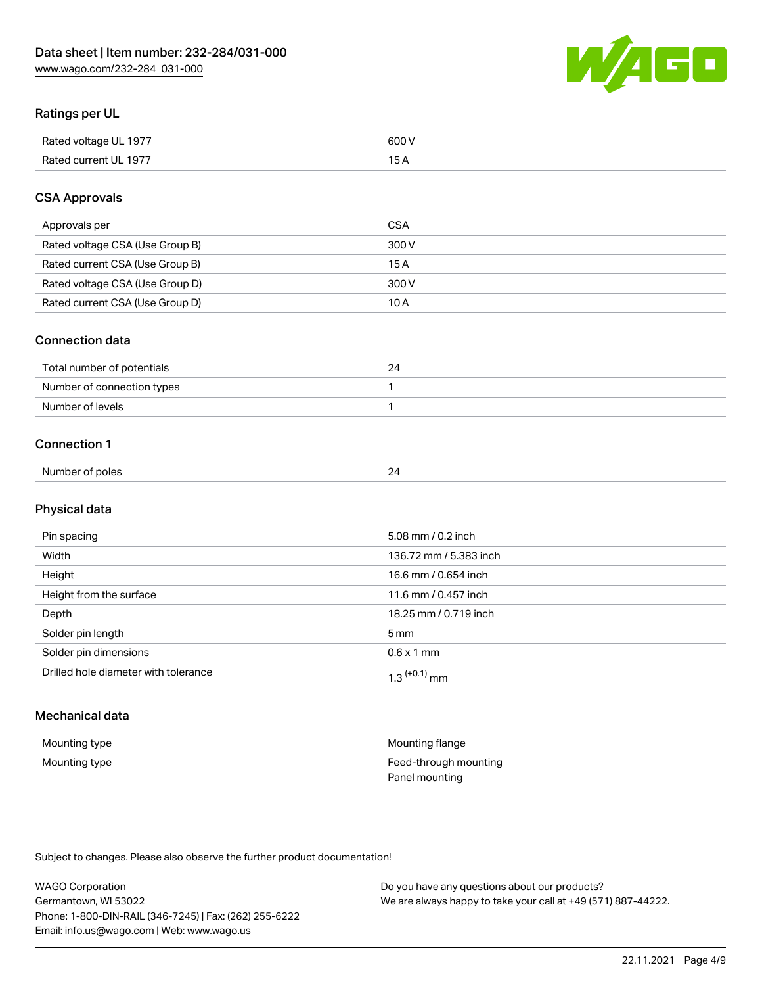

# Ratings per UL

| Rated voltage UL 1977                | COO V<br>ור |
|--------------------------------------|-------------|
| <b>Rated</b><br>UL 1977<br>curront l | _____       |

### CSA Approvals

| Approvals per                   | <b>CSA</b> |
|---------------------------------|------------|
| Rated voltage CSA (Use Group B) | 300 V      |
| Rated current CSA (Use Group B) | 15 A       |
| Rated voltage CSA (Use Group D) | 300 V      |
| Rated current CSA (Use Group D) | 10 A       |

#### Connection data

| Total number of potentials |  |
|----------------------------|--|
| Number of connection types |  |
| Number of levels           |  |

#### Connection 1

| Number of poles | ∽ |
|-----------------|---|
|                 |   |

# Physical data

| Pin spacing                          | 5.08 mm / 0.2 inch     |
|--------------------------------------|------------------------|
| Width                                | 136.72 mm / 5.383 inch |
| Height                               | 16.6 mm / 0.654 inch   |
| Height from the surface              | 11.6 mm / 0.457 inch   |
| Depth                                | 18.25 mm / 0.719 inch  |
| Solder pin length                    | 5 <sub>mm</sub>        |
| Solder pin dimensions                | $0.6 \times 1$ mm      |
| Drilled hole diameter with tolerance | $1.3$ $(+0.1)$ mm      |

# Mechanical data

| Mounting type | Mounting flange                         |
|---------------|-----------------------------------------|
| Mounting type | Feed-through mounting<br>Panel mounting |

Subject to changes. Please also observe the further product documentation!

| <b>WAGO Corporation</b>                                | Do you have any questions about our products?                 |
|--------------------------------------------------------|---------------------------------------------------------------|
| Germantown, WI 53022                                   | We are always happy to take your call at +49 (571) 887-44222. |
| Phone: 1-800-DIN-RAIL (346-7245)   Fax: (262) 255-6222 |                                                               |
| Email: info.us@wago.com   Web: www.wago.us             |                                                               |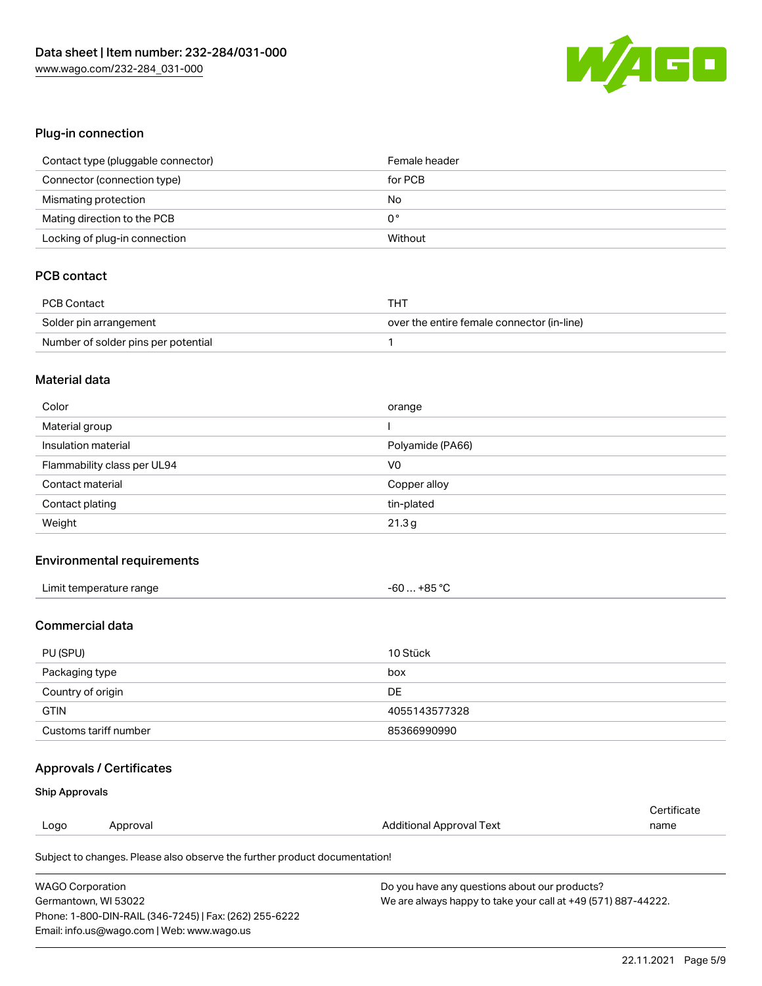

### Plug-in connection

| Contact type (pluggable connector) | Female header |
|------------------------------------|---------------|
| Connector (connection type)        | for PCB       |
| Mismating protection               | No            |
| Mating direction to the PCB        | 0°            |
| Locking of plug-in connection      | Without       |

# PCB contact

| PCB Contact                         | THT                                        |
|-------------------------------------|--------------------------------------------|
| Solder pin arrangement              | over the entire female connector (in-line) |
| Number of solder pins per potential |                                            |

#### Material data

| Color                       | orange           |
|-----------------------------|------------------|
| Material group              |                  |
| Insulation material         | Polyamide (PA66) |
| Flammability class per UL94 | V0               |
| Contact material            | Copper alloy     |
| Contact plating             | tin-plated       |
| Weight                      | 21.3g            |

# Environmental requirements

| Limit temperature range | +85 °C<br>- 60  - |  |
|-------------------------|-------------------|--|
|-------------------------|-------------------|--|

# Commercial data

| PU (SPU)              | 10 Stück      |
|-----------------------|---------------|
| Packaging type        | box           |
| Country of origin     | DE.           |
| <b>GTIN</b>           | 4055143577328 |
| Customs tariff number | 85366990990   |

# Approvals / Certificates

#### Ship Approvals

|                                                                            |          |                          | Certificate |
|----------------------------------------------------------------------------|----------|--------------------------|-------------|
| Logo                                                                       | Approval | Additional Approval Text | name        |
| Subject to changes. Please also observe the further product documentation! |          |                          |             |

| <b>WAGO Corporation</b>                                | Do you have any questions about our products?                 |
|--------------------------------------------------------|---------------------------------------------------------------|
| Germantown, WI 53022                                   | We are always happy to take your call at +49 (571) 887-44222. |
| Phone: 1-800-DIN-RAIL (346-7245)   Fax: (262) 255-6222 |                                                               |
| Email: info.us@wago.com   Web: www.wago.us             |                                                               |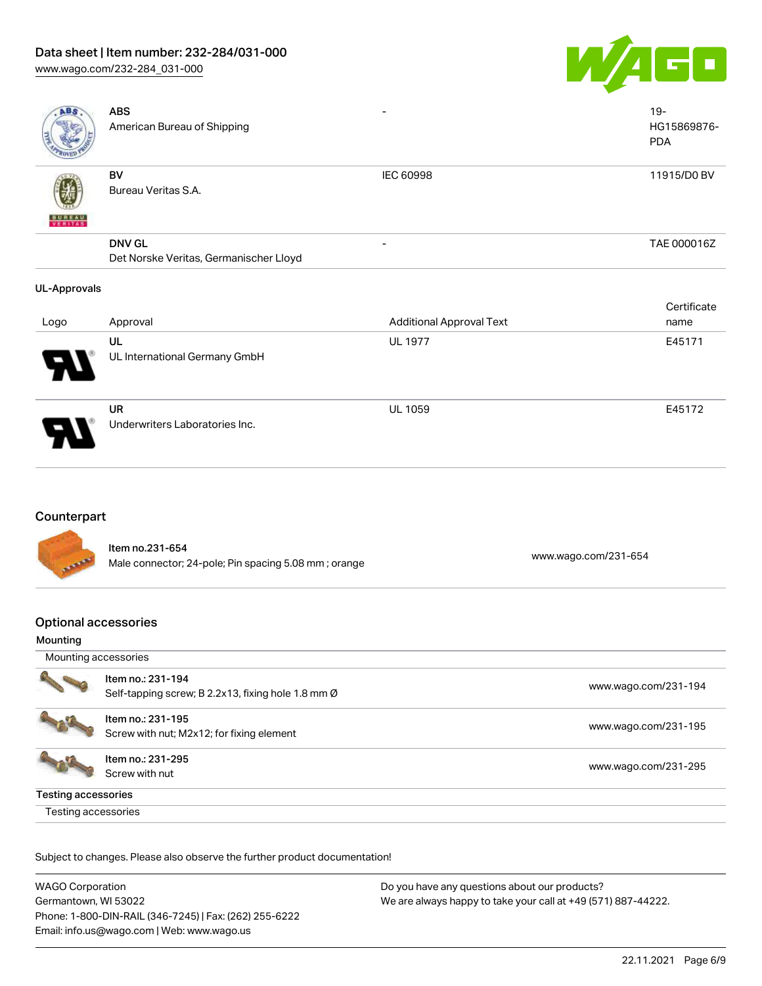# Data sheet | Item number: 232-284/031-000

[www.wago.com/232-284\\_031-000](http://www.wago.com/232-284_031-000)



| AB.                 | <b>ABS</b><br>American Bureau of Shipping               |                                 | $19 -$<br>HG15869876-<br><b>PDA</b> |
|---------------------|---------------------------------------------------------|---------------------------------|-------------------------------------|
| <b>VERITAS</b>      | BV<br>Bureau Veritas S.A.                               | <b>IEC 60998</b>                | 11915/D0 BV                         |
|                     | <b>DNV GL</b><br>Det Norske Veritas, Germanischer Lloyd | $\overline{\phantom{0}}$        | TAE 000016Z                         |
| <b>UL-Approvals</b> |                                                         |                                 |                                     |
|                     |                                                         |                                 | Certificate                         |
| Logo                | Approval                                                | <b>Additional Approval Text</b> | name                                |
|                     | UL                                                      | <b>UL 1977</b>                  | E45171                              |
|                     | UL International Germany GmbH                           |                                 |                                     |
|                     | UR                                                      | <b>UL 1059</b>                  | E45172                              |

### Counterpart

Item no.231-654 nem 10.231-004<br>Male connector; 24-pole; Pin spacing 5.08 mm ; orange [www.wago.com/231-654](https://www.wago.com/231-654)

Underwriters Laboratories Inc.

# Optional accessories

#### Mounting

| Mounting accessories       |                                                                         |                      |
|----------------------------|-------------------------------------------------------------------------|----------------------|
|                            | Item no.: 231-194<br>Self-tapping screw; B 2.2x13, fixing hole 1.8 mm Ø | www.wago.com/231-194 |
|                            | Item no.: 231-195<br>Screw with nut; M2x12; for fixing element          | www.wago.com/231-195 |
|                            | Item no.: 231-295<br>Screw with nut                                     | www.wago.com/231-295 |
| <b>Testing accessories</b> |                                                                         |                      |
| Testing accessories        |                                                                         |                      |

Subject to changes. Please also observe the further product documentation!

| <b>WAGO Corporation</b>                                | Do you have any questions about our products?                 |
|--------------------------------------------------------|---------------------------------------------------------------|
| Germantown. WI 53022                                   | We are always happy to take your call at +49 (571) 887-44222. |
| Phone: 1-800-DIN-RAIL (346-7245)   Fax: (262) 255-6222 |                                                               |
| Email: info.us@wago.com   Web: www.wago.us             |                                                               |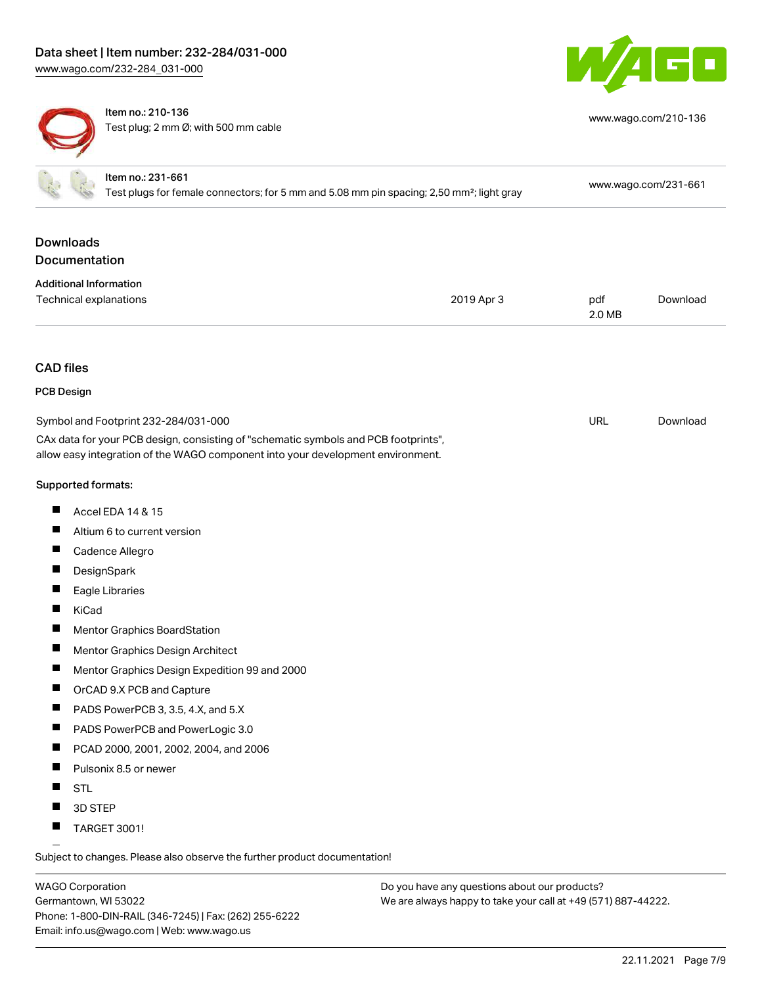



Item no.: 210-136 Test plug; 2 mm Ø; with 500 mm cable

| www.wago.com/210-136 |  |
|----------------------|--|
|----------------------|--|

|                                   | Item no.: 231-661<br>Test plugs for female connectors; for 5 mm and 5.08 mm pin spacing; 2,50 mm <sup>2</sup> ; light gray                                                                                     |            |               | www.wago.com/231-661 |
|-----------------------------------|----------------------------------------------------------------------------------------------------------------------------------------------------------------------------------------------------------------|------------|---------------|----------------------|
| <b>Downloads</b><br>Documentation |                                                                                                                                                                                                                |            |               |                      |
| <b>Additional Information</b>     | Technical explanations                                                                                                                                                                                         | 2019 Apr 3 | pdf<br>2.0 MB | Download             |
| <b>CAD files</b>                  |                                                                                                                                                                                                                |            |               |                      |
| <b>PCB Design</b>                 |                                                                                                                                                                                                                |            |               |                      |
|                                   | Symbol and Footprint 232-284/031-000<br>CAx data for your PCB design, consisting of "schematic symbols and PCB footprints",<br>allow easy integration of the WAGO component into your development environment. |            | URL           | Download             |
| Supported formats:                |                                                                                                                                                                                                                |            |               |                      |
| H                                 | Accel EDA 14 & 15                                                                                                                                                                                              |            |               |                      |
|                                   | Altium 6 to current version                                                                                                                                                                                    |            |               |                      |
| ш                                 | Cadence Allegro                                                                                                                                                                                                |            |               |                      |
| ш                                 | DesignSpark                                                                                                                                                                                                    |            |               |                      |
|                                   | Eagle Libraries                                                                                                                                                                                                |            |               |                      |
| KiCad                             |                                                                                                                                                                                                                |            |               |                      |
|                                   | <b>Mentor Graphics BoardStation</b>                                                                                                                                                                            |            |               |                      |
|                                   | Mentor Graphics Design Architect                                                                                                                                                                               |            |               |                      |
|                                   | Mentor Graphics Design Expedition 99 and 2000                                                                                                                                                                  |            |               |                      |
| П                                 | OrCAD 9.X PCB and Capture                                                                                                                                                                                      |            |               |                      |
| Ш                                 | PADS PowerPCB 3, 3.5, 4.X, and 5.X                                                                                                                                                                             |            |               |                      |
|                                   | PADS PowerPCB and PowerLogic 3.0                                                                                                                                                                               |            |               |                      |
| п                                 | PCAD 2000, 2001, 2002, 2004, and 2006                                                                                                                                                                          |            |               |                      |
|                                   | Pulsonix 8.5 or newer                                                                                                                                                                                          |            |               |                      |
| П<br><b>STL</b>                   |                                                                                                                                                                                                                |            |               |                      |
|                                   | 3D STEP                                                                                                                                                                                                        |            |               |                      |
| ш                                 | TARGET 3001!                                                                                                                                                                                                   |            |               |                      |
|                                   | Subject to changes. Please also observe the further product documentation!                                                                                                                                     |            |               |                      |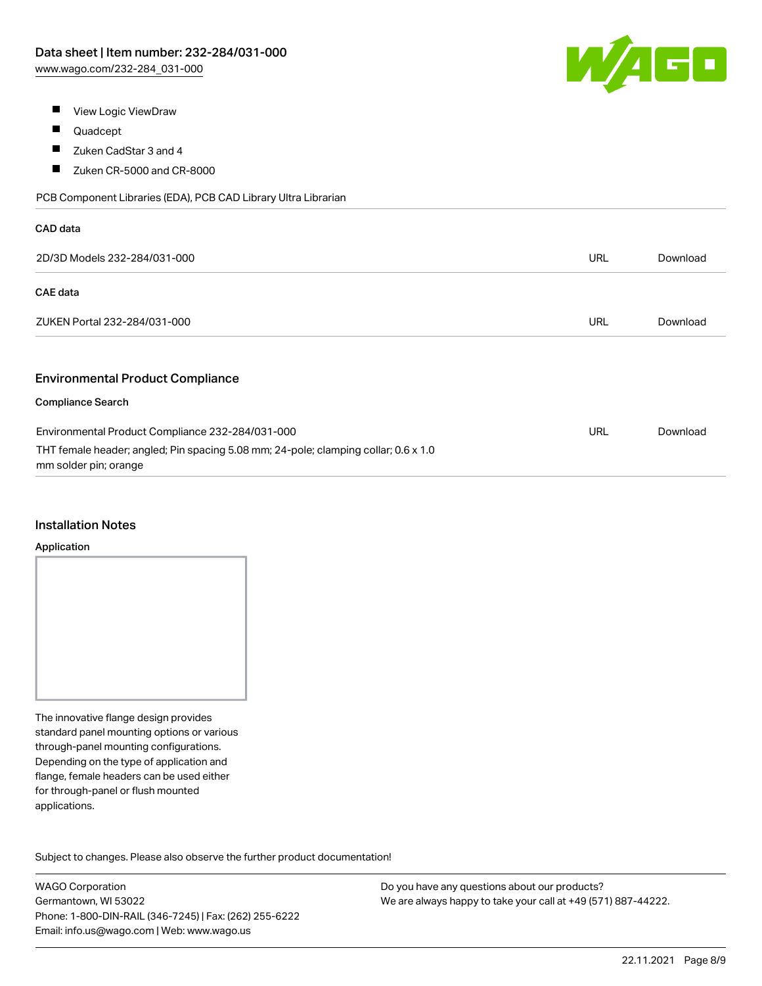

- $\blacksquare$ View Logic ViewDraw
- $\blacksquare$ Quadcept
- $\blacksquare$ Zuken CadStar 3 and 4
- $\blacksquare$ Zuken CR-5000 and CR-8000

PCB Component Libraries (EDA), PCB CAD Library Ultra Librarian

| CAD data                                                                                                     |            |          |
|--------------------------------------------------------------------------------------------------------------|------------|----------|
| 2D/3D Models 232-284/031-000                                                                                 | URL        | Download |
| <b>CAE</b> data                                                                                              |            |          |
| ZUKEN Portal 232-284/031-000                                                                                 | <b>URL</b> | Download |
|                                                                                                              |            |          |
| <b>Environmental Product Compliance</b>                                                                      |            |          |
| <b>Compliance Search</b>                                                                                     |            |          |
| Environmental Product Compliance 232-284/031-000                                                             | <b>URL</b> | Download |
| THT female header; angled; Pin spacing 5.08 mm; 24-pole; clamping collar; 0.6 x 1.0<br>mm solder pin; orange |            |          |

#### Installation Notes

#### Application

The innovative flange design provides standard panel mounting options or various through-panel mounting configurations. Depending on the type of application and flange, female headers can be used either for through-panel or flush mounted applications.

Subject to changes. Please also observe the further product documentation! Product family

WAGO Corporation Germantown, WI 53022 Phone: 1-800-DIN-RAIL (346-7245) | Fax: (262) 255-6222 Email: info.us@wago.com | Web: www.wago.us